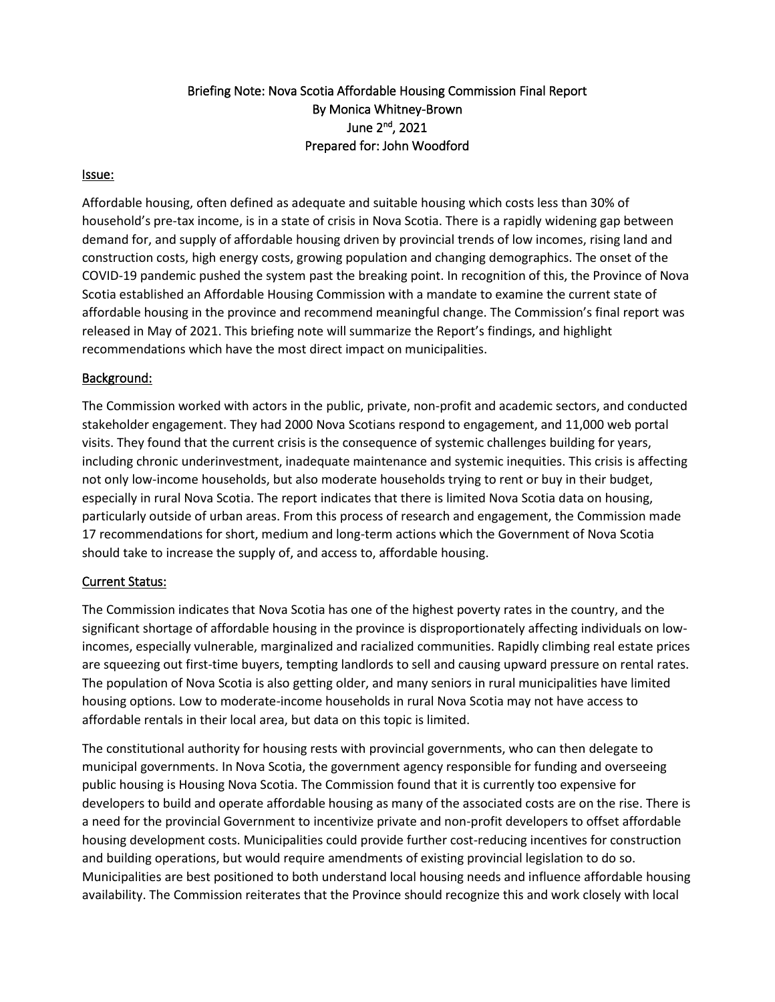## Briefing Note: Nova Scotia Affordable Housing Commission Final Report By Monica Whitney-Brown June 2nd, 2021 Prepared for: John Woodford

#### Issue:

Affordable housing, often defined as adequate and suitable housing which costs less than 30% of household's pre-tax income, is in a state of crisis in Nova Scotia. There is a rapidly widening gap between demand for, and supply of affordable housing driven by provincial trends of low incomes, rising land and construction costs, high energy costs, growing population and changing demographics. The onset of the COVID-19 pandemic pushed the system past the breaking point. In recognition of this, the Province of Nova Scotia established an Affordable Housing Commission with a mandate to examine the current state of affordable housing in the province and recommend meaningful change. The Commission's final report was released in May of 2021. This briefing note will summarize the Report's findings, and highlight recommendations which have the most direct impact on municipalities.

#### Background:

The Commission worked with actors in the public, private, non-profit and academic sectors, and conducted stakeholder engagement. They had 2000 Nova Scotians respond to engagement, and 11,000 web portal visits. They found that the current crisis is the consequence of systemic challenges building for years, including chronic underinvestment, inadequate maintenance and systemic inequities. This crisis is affecting not only low-income households, but also moderate households trying to rent or buy in their budget, especially in rural Nova Scotia. The report indicates that there is limited Nova Scotia data on housing, particularly outside of urban areas. From this process of research and engagement, the Commission made 17 recommendations for short, medium and long-term actions which the Government of Nova Scotia should take to increase the supply of, and access to, affordable housing.

### Current Status:

The Commission indicates that Nova Scotia has one of the highest poverty rates in the country, and the significant shortage of affordable housing in the province is disproportionately affecting individuals on lowincomes, especially vulnerable, marginalized and racialized communities. Rapidly climbing real estate prices are squeezing out first-time buyers, tempting landlords to sell and causing upward pressure on rental rates. The population of Nova Scotia is also getting older, and many seniors in rural municipalities have limited housing options. Low to moderate-income households in rural Nova Scotia may not have access to affordable rentals in their local area, but data on this topic is limited.

The constitutional authority for housing rests with provincial governments, who can then delegate to municipal governments. In Nova Scotia, the government agency responsible for funding and overseeing public housing is Housing Nova Scotia. The Commission found that it is currently too expensive for developers to build and operate affordable housing as many of the associated costs are on the rise. There is a need for the provincial Government to incentivize private and non-profit developers to offset affordable housing development costs. Municipalities could provide further cost-reducing incentives for construction and building operations, but would require amendments of existing provincial legislation to do so. Municipalities are best positioned to both understand local housing needs and influence affordable housing availability. The Commission reiterates that the Province should recognize this and work closely with local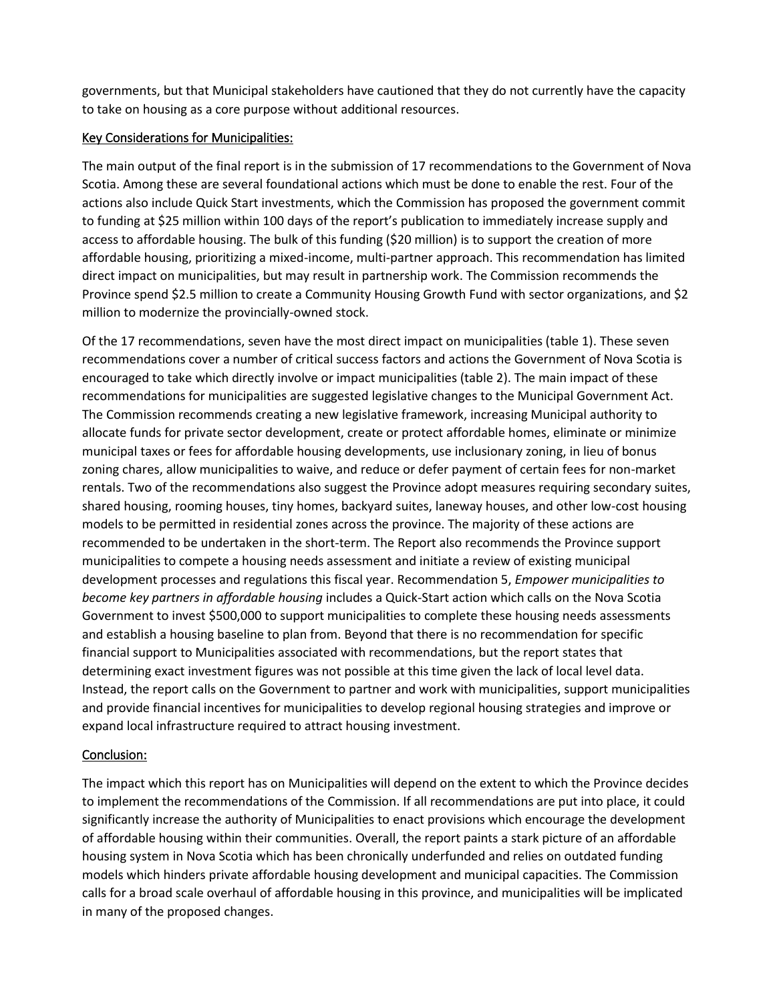governments, but that Municipal stakeholders have cautioned that they do not currently have the capacity to take on housing as a core purpose without additional resources.

#### Key Considerations for Municipalities:

The main output of the final report is in the submission of 17 recommendations to the Government of Nova Scotia. Among these are several foundational actions which must be done to enable the rest. Four of the actions also include Quick Start investments, which the Commission has proposed the government commit to funding at \$25 million within 100 days of the report's publication to immediately increase supply and access to affordable housing. The bulk of this funding (\$20 million) is to support the creation of more affordable housing, prioritizing a mixed-income, multi-partner approach. This recommendation has limited direct impact on municipalities, but may result in partnership work. The Commission recommends the Province spend \$2.5 million to create a Community Housing Growth Fund with sector organizations, and \$2 million to modernize the provincially-owned stock.

Of the 17 recommendations, seven have the most direct impact on municipalities (table 1). These seven recommendations cover a number of critical success factors and actions the Government of Nova Scotia is encouraged to take which directly involve or impact municipalities (table 2). The main impact of these recommendations for municipalities are suggested legislative changes to the Municipal Government Act. The Commission recommends creating a new legislative framework, increasing Municipal authority to allocate funds for private sector development, create or protect affordable homes, eliminate or minimize municipal taxes or fees for affordable housing developments, use inclusionary zoning, in lieu of bonus zoning chares, allow municipalities to waive, and reduce or defer payment of certain fees for non-market rentals. Two of the recommendations also suggest the Province adopt measures requiring secondary suites, shared housing, rooming houses, tiny homes, backyard suites, laneway houses, and other low-cost housing models to be permitted in residential zones across the province. The majority of these actions are recommended to be undertaken in the short-term. The Report also recommends the Province support municipalities to compete a housing needs assessment and initiate a review of existing municipal development processes and regulations this fiscal year. Recommendation 5, *Empower municipalities to become key partners in affordable housing* includes a Quick-Start action which calls on the Nova Scotia Government to invest \$500,000 to support municipalities to complete these housing needs assessments and establish a housing baseline to plan from. Beyond that there is no recommendation for specific financial support to Municipalities associated with recommendations, but the report states that determining exact investment figures was not possible at this time given the lack of local level data. Instead, the report calls on the Government to partner and work with municipalities, support municipalities and provide financial incentives for municipalities to develop regional housing strategies and improve or expand local infrastructure required to attract housing investment.

### Conclusion:

The impact which this report has on Municipalities will depend on the extent to which the Province decides to implement the recommendations of the Commission. If all recommendations are put into place, it could significantly increase the authority of Municipalities to enact provisions which encourage the development of affordable housing within their communities. Overall, the report paints a stark picture of an affordable housing system in Nova Scotia which has been chronically underfunded and relies on outdated funding models which hinders private affordable housing development and municipal capacities. The Commission calls for a broad scale overhaul of affordable housing in this province, and municipalities will be implicated in many of the proposed changes.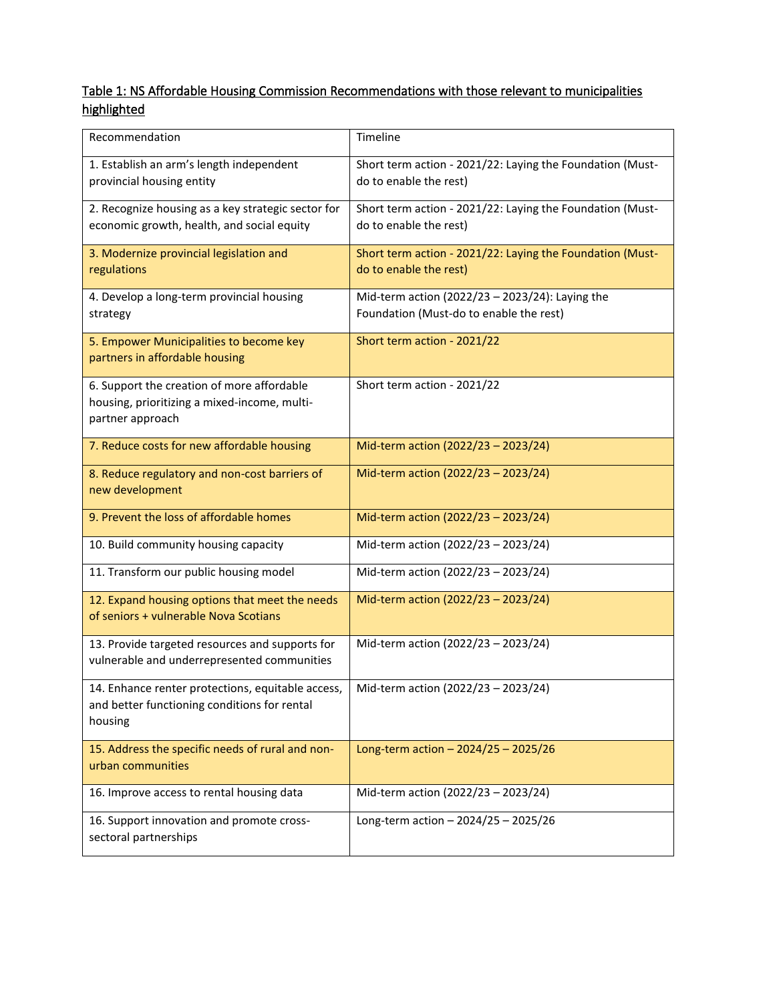# Table 1: NS Affordable Housing Commission Recommendations with those relevant to municipalities highlighted

| Recommendation                                                                                                 | Timeline                                                                                   |
|----------------------------------------------------------------------------------------------------------------|--------------------------------------------------------------------------------------------|
| 1. Establish an arm's length independent<br>provincial housing entity                                          | Short term action - 2021/22: Laying the Foundation (Must-<br>do to enable the rest)        |
| 2. Recognize housing as a key strategic sector for<br>economic growth, health, and social equity               | Short term action - 2021/22: Laying the Foundation (Must-<br>do to enable the rest)        |
| 3. Modernize provincial legislation and<br>regulations                                                         | Short term action - 2021/22: Laying the Foundation (Must-<br>do to enable the rest)        |
| 4. Develop a long-term provincial housing<br>strategy                                                          | Mid-term action (2022/23 - 2023/24): Laying the<br>Foundation (Must-do to enable the rest) |
| 5. Empower Municipalities to become key<br>partners in affordable housing                                      | Short term action - 2021/22                                                                |
| 6. Support the creation of more affordable<br>housing, prioritizing a mixed-income, multi-<br>partner approach | Short term action - 2021/22                                                                |
| 7. Reduce costs for new affordable housing                                                                     | Mid-term action (2022/23 - 2023/24)                                                        |
| 8. Reduce regulatory and non-cost barriers of<br>new development                                               | Mid-term action (2022/23 - 2023/24)                                                        |
| 9. Prevent the loss of affordable homes                                                                        | Mid-term action (2022/23 - 2023/24)                                                        |
| 10. Build community housing capacity                                                                           | Mid-term action (2022/23 - 2023/24)                                                        |
| 11. Transform our public housing model                                                                         | Mid-term action (2022/23 - 2023/24)                                                        |
| 12. Expand housing options that meet the needs<br>of seniors + vulnerable Nova Scotians                        | Mid-term action (2022/23 - 2023/24)                                                        |
| 13. Provide targeted resources and supports for<br>vulnerable and underrepresented communities                 | Mid-term action (2022/23 - 2023/24)                                                        |
| 14. Enhance renter protections, equitable access,<br>and better functioning conditions for rental<br>housing   | Mid-term action (2022/23 - 2023/24)                                                        |
| 15. Address the specific needs of rural and non-<br>urban communities                                          | Long-term action $-2024/25 - 2025/26$                                                      |
| 16. Improve access to rental housing data                                                                      | Mid-term action (2022/23 - 2023/24)                                                        |
| 16. Support innovation and promote cross-<br>sectoral partnerships                                             | Long-term action $- 2024/25 - 2025/26$                                                     |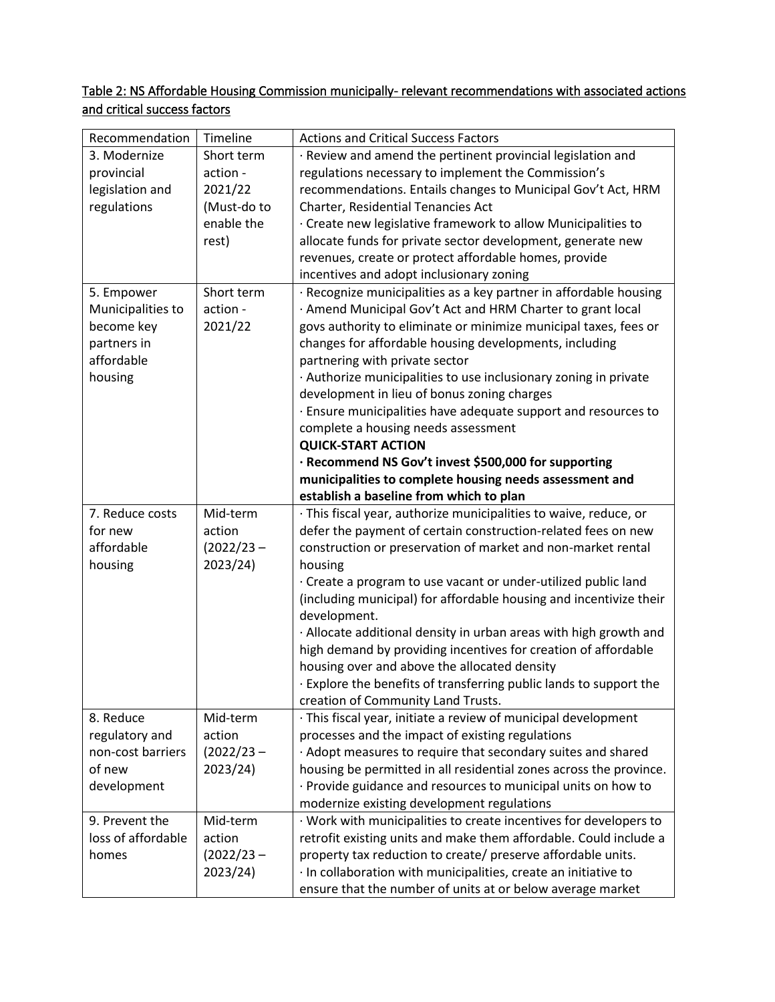## Table 2: NS Affordable Housing Commission municipally- relevant recommendations with associated actions and critical success factors

| Recommendation     | Timeline     | <b>Actions and Critical Success Factors</b>                        |
|--------------------|--------------|--------------------------------------------------------------------|
| 3. Modernize       | Short term   | · Review and amend the pertinent provincial legislation and        |
| provincial         | action -     | regulations necessary to implement the Commission's                |
| legislation and    | 2021/22      | recommendations. Entails changes to Municipal Gov't Act, HRM       |
| regulations        | (Must-do to  | Charter, Residential Tenancies Act                                 |
|                    | enable the   | · Create new legislative framework to allow Municipalities to      |
|                    | rest)        | allocate funds for private sector development, generate new        |
|                    |              | revenues, create or protect affordable homes, provide              |
|                    |              | incentives and adopt inclusionary zoning                           |
|                    | Short term   | · Recognize municipalities as a key partner in affordable housing  |
| 5. Empower         |              |                                                                    |
| Municipalities to  | action -     | · Amend Municipal Gov't Act and HRM Charter to grant local         |
| become key         | 2021/22      | govs authority to eliminate or minimize municipal taxes, fees or   |
| partners in        |              | changes for affordable housing developments, including             |
| affordable         |              | partnering with private sector                                     |
| housing            |              | · Authorize municipalities to use inclusionary zoning in private   |
|                    |              | development in lieu of bonus zoning charges                        |
|                    |              | · Ensure municipalities have adequate support and resources to     |
|                    |              | complete a housing needs assessment                                |
|                    |              | <b>QUICK-START ACTION</b>                                          |
|                    |              | · Recommend NS Gov't invest \$500,000 for supporting               |
|                    |              | municipalities to complete housing needs assessment and            |
|                    |              | establish a baseline from which to plan                            |
| 7. Reduce costs    | Mid-term     | · This fiscal year, authorize municipalities to waive, reduce, or  |
| for new            | action       | defer the payment of certain construction-related fees on new      |
| affordable         | $(2022/23 -$ | construction or preservation of market and non-market rental       |
| housing            | 2023/24)     | housing                                                            |
|                    |              | · Create a program to use vacant or under-utilized public land     |
|                    |              | (including municipal) for affordable housing and incentivize their |
|                    |              | development.                                                       |
|                    |              | · Allocate additional density in urban areas with high growth and  |
|                    |              | high demand by providing incentives for creation of affordable     |
|                    |              | housing over and above the allocated density                       |
|                    |              | . Explore the benefits of transferring public lands to support the |
|                    |              | creation of Community Land Trusts.                                 |
| 8. Reduce          | Mid-term     | · This fiscal year, initiate a review of municipal development     |
| regulatory and     | action       | processes and the impact of existing regulations                   |
| non-cost barriers  | $(2022/23 -$ | · Adopt measures to require that secondary suites and shared       |
| of new             | 2023/24)     | housing be permitted in all residential zones across the province. |
| development        |              | · Provide guidance and resources to municipal units on how to      |
|                    |              | modernize existing development regulations                         |
| 9. Prevent the     | Mid-term     | · Work with municipalities to create incentives for developers to  |
| loss of affordable | action       | retrofit existing units and make them affordable. Could include a  |
| homes              | $(2022/23 -$ | property tax reduction to create/ preserve affordable units.       |
|                    | 2023/24)     | · In collaboration with municipalities, create an initiative to    |
|                    |              | ensure that the number of units at or below average market         |